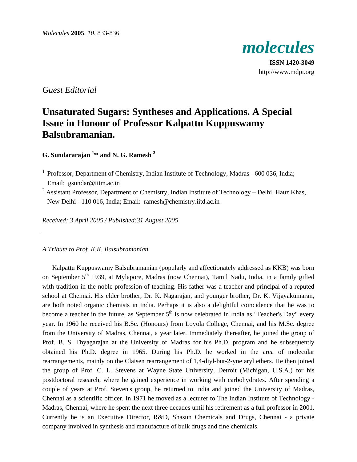

**ISSN 1420-3049** http://www.mdpi.org

# *Guest Editorial*

# **Unsaturated Sugars: Syntheses and Applications. A Special Issue in Honour of Professor Kalpattu Kuppuswamy Balsubramanian.**

## **G. Sundararajan 1,\* and N. G. Ramesh 2**

- <sup>1</sup> Professor, Department of Chemistry, Indian Institute of Technology, Madras 600 036, India; Email: gsundar@iitm.ac.in
- $2$  Assistant Professor, Department of Chemistry, Indian Institute of Technology Delhi, Hauz Khas, New Delhi - 110 016, India; Email: ramesh@chemistry.iitd.ac.in

*Received: 3 April 2005 / Published:31 August 2005* 

## *A Tribute to Prof. K.K. Balsubramanian*

Kalpattu Kuppuswamy Balsubramanian (popularly and affectionately addressed as KKB) was born on September 5<sup>th</sup> 1939, at Mylapore, Madras (now Chennai), Tamil Nadu, India, in a family gifted with tradition in the noble profession of teaching. His father was a teacher and principal of a reputed school at Chennai. His elder brother, Dr. K. Nagarajan, and younger brother, Dr. K. Vijayakumaran, are both noted organic chemists in India. Perhaps it is also a delightful coincidence that he was to become a teacher in the future, as September 5<sup>th</sup> is now celebrated in India as "Teacher's Day" every year. In 1960 he received his B.Sc. (Honours) from Loyola College, Chennai, and his M.Sc. degree from the University of Madras, Chennai, a year later. Immediately thereafter, he joined the group of Prof. B. S. Thyagarajan at the University of Madras for his Ph.D. program and he subsequently obtained his Ph.D. degree in 1965. During his Ph.D. he worked in the area of molecular rearrangements, mainly on the Claisen rearrangement of 1,4-diyl-but-2-yne aryl ethers. He then joined the group of Prof. C. L. Stevens at Wayne State University, Detroit (Michigan, U.S.A.) for his postdoctoral research, where he gained experience in working with carbohydrates. After spending a couple of years at Prof. Steven's group, he returned to India and joined the University of Madras, Chennai as a scientific officer. In 1971 he moved as a lecturer to The Indian Institute of Technology - Madras, Chennai, where he spent the next three decades until his retirement as a full professor in 2001. Currently he is an Executive Director, R&D, Shasun Chemicals and Drugs, Chennai - a private company involved in synthesis and manufacture of bulk drugs and fine chemicals.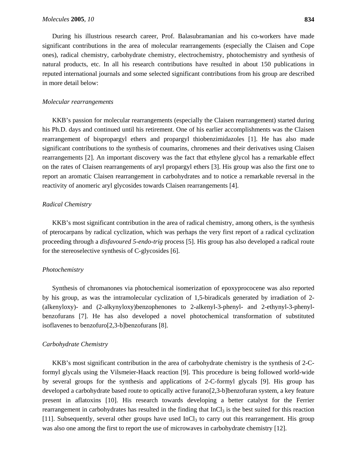During his illustrious research career, Prof. Balasubramanian and his co-workers have made significant contributions in the area of molecular rearrangements (especially the Claisen and Cope ones), radical chemistry, carbohydrate chemistry, electrochemistry, photochemistry and synthesis of natural products, etc. In all his research contributions have resulted in about 150 publications in reputed international journals and some selected significant contributions from his group are described in more detail below:

#### *Molecular rearrangements*

KKB's passion for molecular rearrangements (especially the Claisen rearrangement) started during his Ph.D. days and continued until his retirement. One of his earlier accomplishments was the Claisen rearrangement of bispropargyl ethers and propargyl thiobenzimidazoles [1]. He has also made significant contributions to the synthesis of coumarins, chromenes and their derivatives using Claisen rearrangements [2]. An important discovery was the fact that ethylene glycol has a remarkable effect on the rates of Claisen rearrangements of aryl propargyl ethers [3]. His group was also the first one to report an aromatic Claisen rearrangement in carbohydrates and to notice a remarkable reversal in the reactivity of anomeric aryl glycosides towards Claisen rearrangements [4].

#### *Radical Chemistry*

KKB's most significant contribution in the area of radical chemistry, among others, is the synthesis of pterocarpans by radical cyclization, which was perhaps the very first report of a radical cyclization proceeding through a *disfavoured 5-endo-trig* process [5]. His group has also developed a radical route for the stereoselective synthesis of C-glycosides [6].

#### *Photochemistry*

Synthesis of chromanones via photochemical isomerization of epoxyprococene was also reported by his group, as was the intramolecular cyclization of 1,5-biradicals generated by irradiation of 2- (alkenyloxy)- and (2-alkynyloxy)benzophenones to 2-alkenyl-3-phenyl- and 2-ethynyl-3-phenylbenzofurans [7]. He has also developed a novel photochemical transformation of substituted isoflavenes to benzofuro[2,3-b]benzofurans [8].

#### *Carbohydrate Chemistry*

KKB's most significant contribution in the area of carbohydrate chemistry is the synthesis of 2-Cformyl glycals using the Vilsmeier-Haack reaction [9]. This procedure is being followed world-wide by several groups for the synthesis and applications of 2-C-formyl glycals [9]. His group has developed a carbohydrate based route to optically active furano[2,3-b]benzofuran system, a key feature present in aflatoxins [10]. His research towards developing a better catalyst for the Ferrier rearrangement in carbohydrates has resulted in the finding that  $InCl<sub>3</sub>$  is the best suited for this reaction [11]. Subsequently, several other groups have used  $InCl<sub>3</sub>$  to carry out this rearrangement. His group was also one among the first to report the use of microwaves in carbohydrate chemistry [12].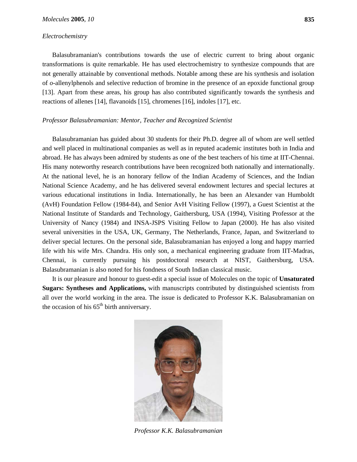#### *Electrochemistry*

Balasubramanian's contributions towards the use of electric current to bring about organic transformations is quite remarkable. He has used electrochemistry to synthesize compounds that are not generally attainable by conventional methods. Notable among these are his synthesis and isolation of *o-*allenylphenols and selective reduction of bromine in the presence of an epoxide functional group [13]. Apart from these areas, his group has also contributed significantly towards the synthesis and reactions of allenes [14], flavanoids [15], chromenes [16], indoles [17], etc.

#### *Professor Balasubramanian: Mentor, Teacher and Recognized Scientist*

Balasubramanian has guided about 30 students for their Ph.D. degree all of whom are well settled and well placed in multinational companies as well as in reputed academic institutes both in India and abroad. He has always been admired by students as one of the best teachers of his time at IIT-Chennai. His many noteworthy research contributions have been recognized both nationally and internationally. At the national level, he is an honorary fellow of the Indian Academy of Sciences, and the Indian National Science Academy, and he has delivered several endowment lectures and special lectures at various educational institutions in India. Internationally, he has been an Alexander van Humboldt (AvH) Foundation Fellow (1984-84), and Senior AvH Visiting Fellow (1997), a Guest Scientist at the National Institute of Standards and Technology, Gaithersburg, USA (1994), Visiting Professor at the University of Nancy (1984) and INSA-JSPS Visiting Fellow to Japan (2000). He has also visited several universities in the USA, UK, Germany, The Netherlands, France, Japan, and Switzerland to deliver special lectures. On the personal side, Balasubramanian has enjoyed a long and happy married life with his wife Mrs. Chandra. His only son, a mechanical engineering graduate from IIT-Madras, Chennai, is currently pursuing his postdoctoral research at NIST, Gaithersburg, USA. Balasubramanian is also noted for his fondness of South Indian classical music.

It is our pleasure and honour to guest-edit a special issue of Molecules on the topic of **Unsaturated Sugars: Syntheses and Applications,** with manuscripts contributed by distinguished scientists from all over the world working in the area. The issue is dedicated to Professor K.K. Balasubramanian on the occasion of his  $65<sup>th</sup>$  birth anniversary.



*Professor K.K. Balasubramanian*